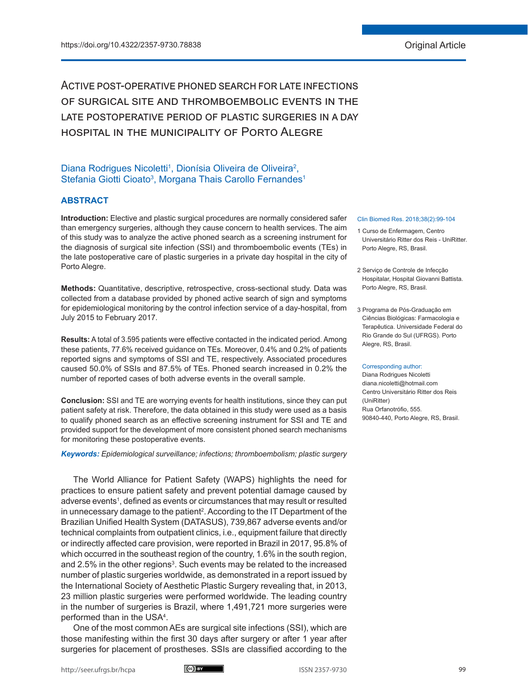Active post-operative phoned search for late infections of surgical site and thromboembolic events in the LATE POSTOPERATIVE PERIOD OF PLASTIC SURGERIES IN A DAY hospital in the municipality of Porto Alegre

# Diana Rodrigues Nicoletti<sup>1</sup>, Dionísia Oliveira de Oliveira<sup>2</sup>, Stefania Giotti Cioato<sup>3</sup>, Morgana Thais Carollo Fernandes<sup>1</sup>

# **ABSTRACT**

**Introduction:** Elective and plastic surgical procedures are normally considered safer than emergency surgeries, although they cause concern to health services. The aim of this study was to analyze the active phoned search as a screening instrument for the diagnosis of surgical site infection (SSI) and thromboembolic events (TEs) in the late postoperative care of plastic surgeries in a private day hospital in the city of Porto Alegre.

**Methods:** Quantitative, descriptive, retrospective, cross-sectional study. Data was collected from a database provided by phoned active search of sign and symptoms for epidemiological monitoring by the control infection service of a day-hospital, from July 2015 to February 2017.

**Results:** A total of 3.595 patients were effective contacted in the indicated period. Among these patients, 77.6% received guidance on TEs. Moreover, 0.4% and 0.2% of patients reported signs and symptoms of SSI and TE, respectively. Associated procedures caused 50.0% of SSIs and 87.5% of TEs. Phoned search increased in 0.2% the number of reported cases of both adverse events in the overall sample.

**Conclusion:** SSI and TE are worrying events for health institutions, since they can put patient safety at risk. Therefore, the data obtained in this study were used as a basis to qualify phoned search as an effective screening instrument for SSI and TE and provided support for the development of more consistent phoned search mechanisms for monitoring these postoperative events.

#### *Keywords: Epidemiological surveillance; infections; thromboembolism; plastic surgery*

The World Alliance for Patient Safety (WAPS) highlights the need for practices to ensure patient safety and prevent potential damage caused by adverse events<sup>1</sup>, defined as events or circumstances that may result or resulted in unnecessary damage to the patient $^2$ . According to the IT Department of the Brazilian Unified Health System (DATASUS), 739,867 adverse events and/or technical complaints from outpatient clinics, i.e., equipment failure that directly or indirectly affected care provision, were reported in Brazil in 2017, 95.8% of which occurred in the southeast region of the country, 1.6% in the south region, and 2.5% in the other regions<sup>3</sup>. Such events may be related to the increased number of plastic surgeries worldwide, as demonstrated in a report issued by the International Society of Aesthetic Plastic Surgery revealing that, in 2013, 23 million plastic surgeries were performed worldwide. The leading country in the number of surgeries is Brazil, where 1,491,721 more surgeries were performed than in the USA4 .

One of the most common AEs are surgical site infections (SSI), which are those manifesting within the first 30 days after surgery or after 1 year after surgeries for placement of prostheses. SSIs are classified according to the



#### Clin Biomed Res. 2018;38(2):99-104

- 1 Curso de Enfermagem, Centro Universitário Ritter dos Reis - UniRitter. Porto Alegre, RS, Brasil.
- 2 Serviço de Controle de Infecção Hospitalar, Hospital Giovanni Battista. Porto Alegre, RS, Brasil.
- 3 Programa de Pós-Graduação em Ciências Biológicas: Farmacologia e Terapêutica. Universidade Federal do Rio Grande do Sul (UFRGS). Porto Alegre, RS, Brasil.

#### Corresponding author:

Diana Rodrigues Nicoletti diana.nicoletti@hotmail.com Centro Universitário Ritter dos Reis (UniRitter) Rua Orfanotrófio, 555. 90840-440, Porto Alegre, RS, Brasil.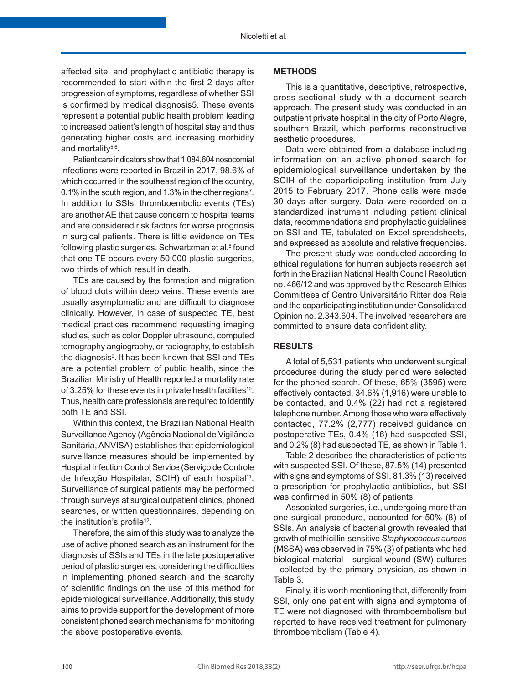affected site, and prophylactic antibiotic therapy is recommended to start within the first 2 days after progression of symptoms, regardless of whether SSI is confirmed by medical diagnosis5. These events represent a potential public health problem leading to increased patient's length of hospital stay and thus generating higher costs and increasing morbidity and mortality $5,6$ .

Patient care indicators show that 1,084,604 nosocomial infections were reported in Brazil in 2017, 98.6% of which occurred in the southeast region of the country, 0.1% in the south region, and 1.3% in the other regions<sup>7</sup>. In addition to SSIs, thromboembolic events (TEs) are another AE that cause concern to hospital teams and are considered risk factors for worse prognosis in surgical patients. There is little evidence on TEs following plastic surgeries. Schwartzman et al.<sup>8</sup> found that one TE occurs every 50,000 plastic surgeries, two thirds of which result in death.

TEs are caused by the formation and migration of blood clots within deep veins. These events are usually asymptomatic and are difficult to diagnose clinically. However, in case of suspected TE, best medical practices recommend requesting imaging studies, such as color Doppler ultrasound, computed tomography angiography, or radiography, to establish the diagnosis9 . It has been known that SSI and TEs are a potential problem of public health, since the Brazilian Ministry of Health reported a mortality rate of 3.25% for these events in private health facilites<sup>10</sup>. Thus, health care professionals are required to identify both TE and SSI.

Within this context, the Brazilian National Health Surveillance Agency (Agência Nacional de Vigilância Sanitária, ANVISA) establishes that epidemiological surveillance measures should be implemented by Hospital Infection Control Service (Serviço de Controle de Infecção Hospitalar, SCIH) of each hospital<sup>11</sup>. Surveillance of surgical patients may be performed through surveys at surgical outpatient clinics, phoned searches, or written questionnaires, depending on the institution's profile<sup>12</sup>.

Therefore, the aim of this study was to analyze the use of active phoned search as an instrument for the diagnosis of SSIs and TEs in the late postoperative period of plastic surgeries, considering the difficulties in implementing phoned search and the scarcity of scientific findings on the use of this method for epidemiological surveillance. Additionally, this study aims to provide support for the development of more consistent phoned search mechanisms for monitoring the above postoperative events.

#### **METHODS**

This is a quantitative, descriptive, retrospective, cross-sectional study with a document search approach. The present study was conducted in an outpatient private hospital in the city of Porto Alegre, southern Brazil, which performs reconstructive aesthetic procedures.

Data were obtained from a database including information on an active phoned search for epidemiological surveillance undertaken by the SCIH of the coparticipating institution from July 2015 to February 2017. Phone calls were made 30 days after surgery. Data were recorded on a standardized instrument including patient clinical data, recommendations and prophylactic guidelines on SSI and TE, tabulated on Excel spreadsheets, and expressed as absolute and relative frequencies.

The present study was conducted according to ethical regulations for human subjects research set forth in the Brazilian National Health Council Resolution no. 466/12 and was approved by the Research Ethics Committees of Centro Universitário Ritter dos Reis and the coparticipating institution under Consolidated Opinion no. 2.343.604. The involved researchers are committed to ensure data confidentiality.

# **RESULTS**

A total of 5,531 patients who underwent surgical procedures during the study period were selected for the phoned search. Of these, 65% (3595) were effectively contacted, 34.6% (1,916) were unable to be contacted, and 0.4% (22) had not a registered telephone number. Among those who were effectively contacted, 77.2% (2,777) received guidance on postoperative TEs, 0.4% (16) had suspected SSI, and 0.2% (8) had suspected TE, as shown in Table 1.

Table 2 describes the characteristics of patients with suspected SSI. Of these, 87.5% (14) presented with signs and symptoms of SSI, 81.3% (13) received a prescription for prophylactic antibiotics, but SSI was confirmed in 50% (8) of patients.

Associated surgeries, i.e., undergoing more than one surgical procedure, accounted for 50% (8) of SSIs. An analysis of bacterial growth revealed that growth of methicillin-sensitive *Staphylococcus aureus* (MSSA) was observed in 75% (3) of patients who had biological material - surgical wound (SW) cultures - collected by the primary physician, as shown in Table 3.

Finally, it is worth mentioning that, differently from SSI, only one patient with signs and symptoms of TE were not diagnosed with thromboembolism but reported to have received treatment for pulmonary thromboembolism (Table 4).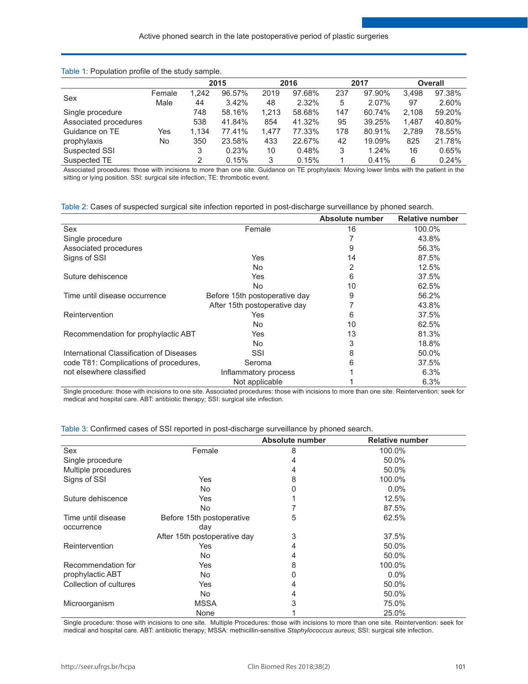### Table 1: Population profile of the study sample.

|                       |        |       | 2015   |       | 2016   |     | 2017   |       | <b>Overall</b> |
|-----------------------|--------|-------|--------|-------|--------|-----|--------|-------|----------------|
| Sex                   | Female | 1.242 | 96.57% | 2019  | 97.68% | 237 | 97.90% | 3.498 | 97.38%         |
|                       | Male   | 44    | 3.42%  | 48    | 2.32%  | 5   | 2.07%  | 97    | 2.60%          |
| Single procedure      |        | 748   | 58.16% | 1.213 | 58.68% | 147 | 60.74% | 2.108 | 59.20%         |
| Associated procedures |        | 538   | 41.84% | 854   | 41.32% | 95  | 39.25% | 1.487 | 40.80%         |
| Guidance on TE        | Yes    | 1.134 | 77.41% | 1.477 | 77.33% | 178 | 80.91% | 2.789 | 78.55%         |
| prophylaxis           | No     | 350   | 23.58% | 433   | 22.67% | 42  | 19.09% | 825   | 21.78%         |
| Suspected SSI         |        | 3     | 0.23%  | 10    | 0.48%  | 3   | 1.24%  | 16    | 0.65%          |
| Suspected TE          |        | 2     | 0.15%  | 3     | 0.15%  |     | 0.41%  | 6     | 0.24%          |

Associated procedures: those with incisions to more than one site. Guidance on TE prophylaxis: Moving lower limbs with the patient in the sitting or lying position. SSI: surgical site infection; TE: thrombotic event.

| Table 2: Cases of suspected surgical site infection reported in post-discharge surveillance by phoned search. |  |  |  |  |
|---------------------------------------------------------------------------------------------------------------|--|--|--|--|
|                                                                                                               |  |  |  |  |

|                                          |                               | Absolute number | <b>Relative number</b> |
|------------------------------------------|-------------------------------|-----------------|------------------------|
| Sex                                      | Female                        | 16              | 100.0%                 |
| Single procedure                         |                               |                 | 43.8%                  |
| Associated procedures                    |                               | 9               | 56.3%                  |
| Signs of SSI                             | Yes                           | 14              | 87.5%                  |
|                                          | No.                           | 2               | 12.5%                  |
| Suture dehiscence                        | Yes                           | 6               | 37.5%                  |
|                                          | No.                           | 10              | 62.5%                  |
| Time until disease occurrence            | Before 15th postoperative day | 9               | 56.2%                  |
|                                          | After 15th postoperative day  |                 | 43.8%                  |
| Reintervention                           | Yes                           | 6               | 37.5%                  |
|                                          | No.                           | 10              | 62.5%                  |
| Recommendation for prophylactic ABT      | Yes                           | 13              | 81.3%                  |
|                                          | No.                           | 3               | 18.8%                  |
| International Classification of Diseases | SSI                           | 8               | 50.0%                  |
| code T81: Complications of procedures,   | Seroma                        | 6               | 37.5%                  |
| not elsewhere classified                 | Inflammatory process          |                 | 6.3%                   |
|                                          | Not applicable                |                 | 6.3%                   |

Single procedure: those with incisions to one site. Associated procedures: those with incisions to more than one site. Reintervention: seek for medical and hospital care. ABT: antibiotic therapy; SSI: surgical site infection.

| Table 3: Confirmed cases of SSI reported in post-discharge surveillance by phoned search. |  |  |  |
|-------------------------------------------------------------------------------------------|--|--|--|
|                                                                                           |  |  |  |

|                        |                              | Absolute number | <b>Relative number</b> |
|------------------------|------------------------------|-----------------|------------------------|
| Sex                    | Female                       | 8               | 100.0%                 |
| Single procedure       |                              | 4               | 50.0%                  |
| Multiple procedures    |                              | 4               | 50.0%                  |
| Signs of SSI           | Yes                          | 8               | 100.0%                 |
|                        | No.                          | 0               | $0.0\%$                |
| Suture dehiscence      | Yes                          |                 | 12.5%                  |
|                        | No.                          |                 | 87.5%                  |
| Time until disease     | Before 15th postoperative    | 5               | 62.5%                  |
| occurrence             | day                          |                 |                        |
|                        | After 15th postoperative day | 3               | 37.5%                  |
| Reintervention         | Yes                          | 4               | 50.0%                  |
|                        | No.                          | 4               | 50.0%                  |
| Recommendation for     | Yes                          | 8               | 100.0%                 |
| prophylactic ABT       | No.                          | 0               | $0.0\%$                |
| Collection of cultures | Yes                          | 4               | 50.0%                  |
|                        | No.                          | 4               | 50.0%                  |
| Microorganism          | <b>MSSA</b>                  | 3               | 75.0%                  |
|                        | None                         |                 | 25.0%                  |

Single procedure: those with incisions to one site. Multiple Procedures: those with incisions to more than one site. Reintervention: seek for medical and hospital care. ABT: antibiotic therapy; MSSA: methicillin-sensitive *Staphylococcus aureus*; SSI: surgical site infection.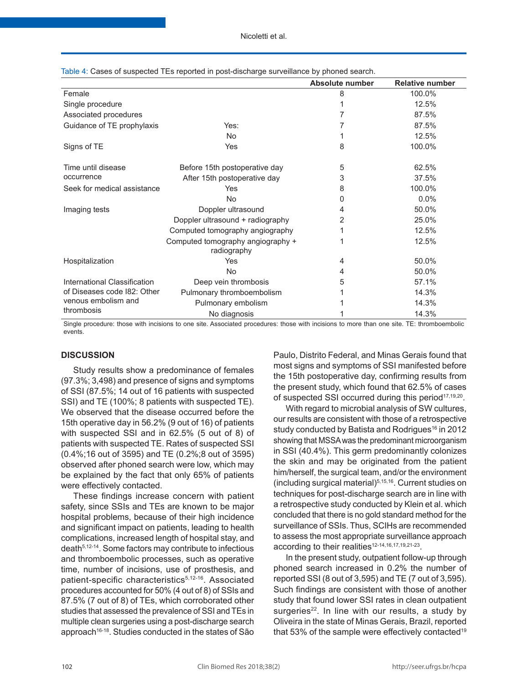|                              |                                                  | Absolute number | <b>Relative number</b> |
|------------------------------|--------------------------------------------------|-----------------|------------------------|
| Female                       |                                                  | 8               | 100.0%                 |
| Single procedure             |                                                  |                 | 12.5%                  |
| Associated procedures        |                                                  |                 | 87.5%                  |
| Guidance of TE prophylaxis   | Yes:                                             |                 | 87.5%                  |
|                              | No.                                              |                 | 12.5%                  |
| Signs of TE                  | Yes                                              | 8               | 100.0%                 |
| Time until disease           | Before 15th postoperative day                    | 5               | 62.5%                  |
| occurrence                   | After 15th postoperative day                     | 3               | 37.5%                  |
| Seek for medical assistance  | Yes                                              | 8               | 100.0%                 |
|                              | <b>No</b>                                        | O               | 0.0%                   |
| Imaging tests                | Doppler ultrasound                               | 4               | 50.0%                  |
|                              | Doppler ultrasound + radiography                 | 2               | 25.0%                  |
|                              | Computed tomography angiography                  |                 | 12.5%                  |
|                              | Computed tomography angiography +<br>radiography |                 | 12.5%                  |
| Hospitalization              | Yes                                              | 4               | 50.0%                  |
|                              | <b>No</b>                                        | 4               | 50.0%                  |
| International Classification | Deep vein thrombosis                             | 5               | 57.1%                  |
| of Diseases code 182: Other  | Pulmonary thromboembolism                        |                 | 14.3%                  |
| venous embolism and          | Pulmonary embolism                               |                 | 14.3%                  |
| thrombosis                   | No diagnosis                                     |                 | 14.3%                  |

Table 4: Cases of suspected TEs reported in post-discharge surveillance by phoned search.

Single procedure: those with incisions to one site. Associated procedures: those with incisions to more than one site. TE: thromboembolic events.

### **DISCUSSION**

Study results show a predominance of females (97.3%; 3,498) and presence of signs and symptoms of SSI (87.5%; 14 out of 16 patients with suspected SSI) and TE (100%; 8 patients with suspected TE). We observed that the disease occurred before the 15th operative day in 56.2% (9 out of 16) of patients with suspected SSI and in 62.5% (5 out of 8) of patients with suspected TE. Rates of suspected SSI (0.4%;16 out of 3595) and TE (0.2%;8 out of 3595) observed after phoned search were low, which may be explained by the fact that only 65% of patients were effectively contacted.

These findings increase concern with patient safety, since SSIs and TEs are known to be major hospital problems, because of their high incidence and significant impact on patients, leading to health complications, increased length of hospital stay, and death5,12-14. Some factors may contribute to infectious and thromboembolic processes, such as operative time, number of incisions, use of prosthesis, and patient-specific characteristics<sup>5,12-16</sup>. Associated procedures accounted for 50% (4 out of 8) of SSIs and 87.5% (7 out of 8) of TEs, which corroborated other studies that assessed the prevalence of SSI and TEs in multiple clean surgeries using a post-discharge search approach16-18. Studies conducted in the states of São

Paulo, Distrito Federal, and Minas Gerais found that most signs and symptoms of SSI manifested before the 15th postoperative day, confirming results from the present study, which found that 62.5% of cases of suspected SSI occurred during this period<sup>17,19,20</sup>.

With regard to microbial analysis of SW cultures, our results are consistent with those of a retrospective study conducted by Batista and Rodrigues<sup>16</sup> in 2012 showing that MSSA was the predominant microorganism in SSI (40.4%). This germ predominantly colonizes the skin and may be originated from the patient him/herself, the surgical team, and/or the environment (including surgical material)5,15,16. Current studies on techniques for post-discharge search are in line with a retrospective study conducted by Klein et al. which concluded that there is no gold standard method for the surveillance of SSIs. Thus, SCIHs are recommended to assess the most appropriate surveillance approach according to their realities<sup>12-14,16,17,19,21-23</sup>.

In the present study, outpatient follow-up through phoned search increased in 0.2% the number of reported SSI (8 out of 3,595) and TE (7 out of 3,595). Such findings are consistent with those of another study that found lower SSI rates in clean outpatient surgeries<sup>22</sup>. In line with our results, a study by Oliveira in the state of Minas Gerais, Brazil, reported that 53% of the sample were effectively contacted<sup>19</sup>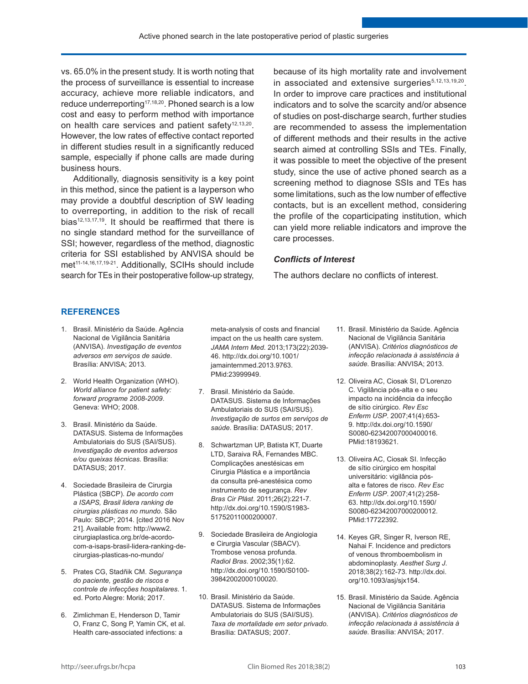vs. 65.0% in the present study. It is worth noting that the process of surveillance is essential to increase accuracy, achieve more reliable indicators, and reduce underreporting<sup>17,18,20</sup>. Phoned search is a low cost and easy to perform method with importance on health care services and patient safety<sup>12,13,20</sup>. However, the low rates of effective contact reported in different studies result in a significantly reduced sample, especially if phone calls are made during business hours.

Additionally, diagnosis sensitivity is a key point in this method, since the patient is a layperson who may provide a doubtful description of SW leading to overreporting, in addition to the risk of recall bias<sup>12,13,17,19</sup>. It should be reaffirmed that there is no single standard method for the surveillance of SSI; however, regardless of the method, diagnostic criteria for SSI established by ANVISA should be met<sup>11-14,16,17,19-21</sup>. Additionally, SCIHs should include search for TEs in their postoperative follow-up strategy,

because of its high mortality rate and involvement in associated and extensive surgeries<sup>5,12,13,19,20</sup>. In order to improve care practices and institutional indicators and to solve the scarcity and/or absence of studies on post-discharge search, further studies are recommended to assess the implementation of different methods and their results in the active search aimed at controlling SSIs and TEs. Finally, it was possible to meet the objective of the present study, since the use of active phoned search as a screening method to diagnose SSIs and TEs has some limitations, such as the low number of effective contacts, but is an excellent method, considering the profile of the coparticipating institution, which can yield more reliable indicators and improve the care processes.

# *Conflicts of Interest*

The authors declare no conflicts of interest.

# **REFERENCES**

- 1. Brasil. Ministério da Saúde. Agência Nacional de Vigilância Sanitária (ANVISA). *Investigação de eventos adversos em serviços de saúde*. Brasília: ANVISA; 2013.
- 2. World Health Organization (WHO). *World alliance for patient safety: forward programe 2008-2009*. Geneva: WHO; 2008.
- 3. Brasil. Ministério da Saúde. DATASUS. Sistema de Informações Ambulatoriais do SUS (SAI/SUS). *Investigação de eventos adversos e/ou queixas técnicas*. Brasília: DATASUS; 2017.
- 4. Sociedade Brasileira de Cirurgia Plástica (SBCP). *De acordo com a ISAPS, Brasil lidera ranking de cirurgias plásticas no mundo*. São Paulo: SBCP; 2014. [cited 2016 Nov 21]. Available from: http://www2. cirurgiaplastica.org.br/de-acordocom-a-isaps-brasil-lidera-ranking-decirurgias-plasticas-no-mundo/
- 5. Prates CG, Stadñik CM. *Segurança do paciente, gestão de riscos e controle de infecções hospitalares*. 1. ed. Porto Alegre: Moriá; 2017.
- 6. Zimlichman E, Henderson D, Tamir O, Franz C, Song P, Yamin CK, et al. Health care-associated infections: a

meta-analysis of costs and financial impact on the us health care system. *JAMA Intern Med*. 2013;173(22):2039- 46. [http://dx.doi.org/10.1001/](https://doi.org/10.1001/jamainternmed.2013.9763) [jamainternmed.2013.9763.](https://doi.org/10.1001/jamainternmed.2013.9763) [PMid:23999949.](https://www.ncbi.nlm.nih.gov/entrez/query.fcgi?cmd=Retrieve&db=PubMed&list_uids=23999949&dopt=Abstract)

- 7. Brasil. Ministério da Saúde. DATASUS. Sistema de Informações Ambulatoriais do SUS (SAI/SUS). *Investigação de surtos em serviços de saúde*. Brasília: DATASUS; 2017.
- 8. Schwartzman UP, Batista KT, Duarte LTD, Saraiva RÂ, Fernandes MBC. Complicações anestésicas em Cirurgia Plástica e a importância da consulta pré-anestésica como instrumento de segurança. *Rev Bras Cir Plást*. 2011;26(2):221-7. [http://dx.doi.org/10.1590/S1983-](https://doi.org/10.1590/S1983-51752011000200007) [51752011000200007.](https://doi.org/10.1590/S1983-51752011000200007)
- 9. Sociedade Brasileira de Angiologia e Cirurgia Vascular (SBACV). Trombose venosa profunda. *Radiol Bras*. 2002;35(1):62. [http://dx.doi.org/10.1590/S0100-](https://doi.org/10.1590/S0100-39842002000100020) [39842002000100020](https://doi.org/10.1590/S0100-39842002000100020).
- 10. Brasil. Ministério da Saúde. DATASUS. Sistema de Informações Ambulatoriais do SUS (SAI/SUS). *Taxa de mortalidade em setor privado*. Brasília: DATASUS; 2007.
- 11. Brasil. Ministério da Saúde. Agência Nacional de Vigilância Sanitária (ANVISA). *Critérios diagnósticos de infecção relacionada à assistência à saúde*. Brasília: ANVISA; 2013.
- 12. Oliveira AC, Ciosak SI, D'Lorenzo C. Vigilância pós-alta e o seu impacto na incidência da infecção de sítio cirúrgico. *Rev Esc Enferm USP*. 2007;41(4):653- 9. [http://dx.doi.org/10.1590/](https://doi.org/10.1590/S0080-62342007000400016) [S0080-62342007000400016.](https://doi.org/10.1590/S0080-62342007000400016) [PMid:18193621.](https://www.ncbi.nlm.nih.gov/entrez/query.fcgi?cmd=Retrieve&db=PubMed&list_uids=18193621&dopt=Abstract)
- 13. Oliveira AC, Ciosak SI. Infecção de sítio cirúrgico em hospital universitário: vigilância pósalta e fatores de risco. *Rev Esc Enferm USP*. 2007;41(2):258- 63. [http://dx.doi.org/10.1590/](https://doi.org/10.1590/S0080-62342007000200012) [S0080-62342007000200012.](https://doi.org/10.1590/S0080-62342007000200012) [PMid:17722392.](https://www.ncbi.nlm.nih.gov/entrez/query.fcgi?cmd=Retrieve&db=PubMed&list_uids=17722392&dopt=Abstract)
- 14. Keyes GR, Singer R, Iverson RE, Nahai F. Incidence and predictors of venous thromboembolism in abdominoplasty. *Aesthet Surg J*. 2018;38(2):162-73. [http://dx.doi.](https://doi.org/10.1093/asj/sjx154) [org/10.1093/asj/sjx154.](https://doi.org/10.1093/asj/sjx154)
- 15. Brasil. Ministério da Saúde. Agência Nacional de Vigilância Sanitária (ANVISA). *Critérios diagnósticos de infecção relacionada à assistência à saúde*. Brasília: ANVISA; 2017.